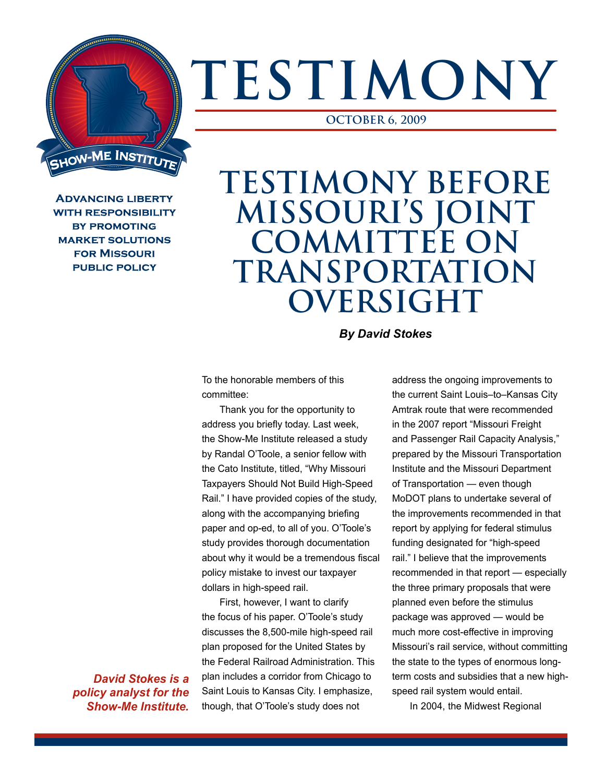## **TESTIMONY**

**OCTOBER 6, 2009**

**ADVANCING LIBERTY WITH RESPONSIBILITY BY PROMOTING MARKET SOLUTIONS FOR MISSOURI PUBLIC POLICY** 

**JOW-ME INSTITUT** 

## **TESTIMONY BEFORE MISSOURI'S JOINT COMMITTEE ON TRANSPORTATION OVERSIGHT**

*By David Stokes*

To the honorable members of this committee:

Thank you for the opportunity to address you briefly today. Last week, the Show-Me Institute released a study by Randal O'Toole, a senior fellow with the Cato Institute, titled, "Why Missouri Taxpayers Should Not Build High-Speed Rail." I have provided copies of the study, along with the accompanying briefing paper and op-ed, to all of you. O'Toole's study provides thorough documentation about why it would be a tremendous fiscal policy mistake to invest our taxpayer dollars in high-speed rail.

First, however, I want to clarify the focus of his paper. O'Toole's study discusses the 8,500-mile high-speed rail plan proposed for the United States by the Federal Railroad Administration. This plan includes a corridor from Chicago to Saint Louis to Kansas City. I emphasize, though, that O'Toole's study does not

address the ongoing improvements to the current Saint Louis–to–Kansas City Amtrak route that were recommended in the 2007 report "Missouri Freight and Passenger Rail Capacity Analysis," prepared by the Missouri Transportation Institute and the Missouri Department of Transportation — even though MoDOT plans to undertake several of the improvements recommended in that report by applying for federal stimulus funding designated for "high-speed rail." I believe that the improvements recommended in that report — especially the three primary proposals that were planned even before the stimulus package was approved — would be much more cost-effective in improving Missouri's rail service, without committing the state to the types of enormous longterm costs and subsidies that a new highspeed rail system would entail.

In 2004, the Midwest Regional

*David Stokes is a policy analyst for the Show-Me Institute.*